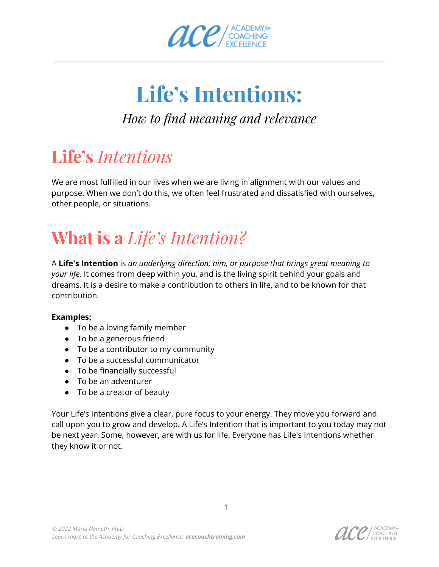

## **Life's Intentions:**

### *How to find meaning and relevance*

### **Life's** *Intentions*

We are most fulfilled in our lives when we are living in alignment with our values and purpose. When we don't do this, we often feel frustrated and dissatisfied with ourselves, other people, or situations.

## **What is a** *Life's Intention?*

A **Life's Intention** is *an underlying direction, aim, or purpose that brings great meaning to your life.* It comes from deep within you, and is the living spirit behind your goals and dreams. It is a desire to make a contribution to others in life, and to be known for that contribution.

#### **Examples:**

- To be a loving family member
- To be a generous friend
- To be a contributor to my community
- To be a successful communicator
- To be financially successful
- To be an adventurer
- To be a creator of beauty

Your Life's Intentions give a clear, pure focus to your energy. They move you forward and call upon you to grow and develop. A Life's Intention that is important to you today may not be next year. Some, however, are with us for life. Everyone has Life's Intentions whether they know it or not.

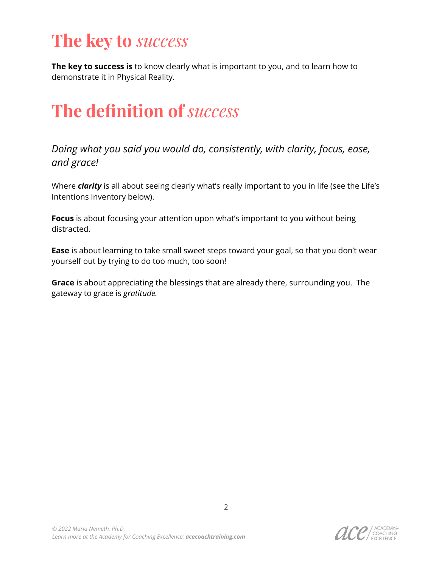### **The key to** *success*

**The key to success is** to know clearly what is important to you, and to learn how to demonstrate it in Physical Reality.

### **The definition of** *success*

*Doing what you said you would do, consistently, with clarity, focus, ease, and grace!*

Where *clarity* is all about seeing clearly what's really important to you in life (see the Life's Intentions Inventory below).

**Focus** is about focusing your attention upon what's important to you without being distracted.

**Ease** is about learning to take small sweet steps toward your goal, so that you don't wear yourself out by trying to do too much, too soon!

**Grace** is about appreciating the blessings that are already there, surrounding you. The gateway to grace is *gratitude.*